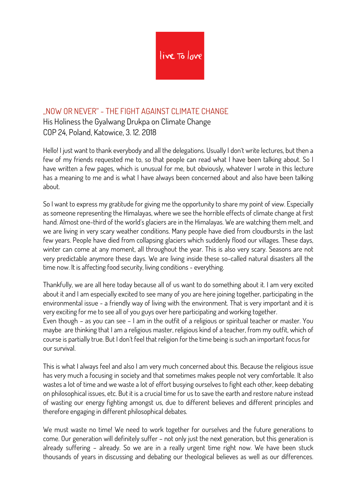

## "NOW OR NEVER" - THE FIGHT AGAINST CLIMATE CHANGE

His Holiness the Gyalwang Drukpa on Climate Change COP 24, Poland, Katowice, 3. 12. 2018

Hello! I just want to thank everybody and all the delegations. Usually I don´t write lectures, but then a few of my friends requested me to, so that people can read what I have been talking about. So I have written a few pages, which is unusual for me, but obviously, whatever I wrote in this lecture has a meaning to me and is what I have always been concerned about and also have been talking about.

So I want to express my gratitude for giving me the opportunity to share my point of view. Especially as someone representing the Himalayas, where we see the horrible effects of climate change at first hand. Almost one-third of the world´s glaciers are in the Himalayas. We are watching them melt, and we are living in very scary weather conditions. Many people have died from cloudbursts in the last few years. People have died from collapsing glaciers which suddenly flood our villages. These days, winter can come at any moment, all throughout the year. This is also very scary. Seasons are not very predictable anymore these days. We are living inside these so-called natural disasters all the time now. It is affecting food security, living conditions - everything.

Thankfully, we are all here today because all of us want to do something about it. I am very excited about it and I am especially excited to see many of you are here joining together, participating in the environmental issue - a friendly way of living with the environment. That is very important and it is very exciting for me to see all of you guys over here participating and working together. Even though – as you can see – I am in the outfit of a religious or spiritual teacher or master. You maybe are thinking that I am a religious master, religious kind of a teacher, from my outfit, which of course is partially true. But I don´t feel that religion for the time being is such an important focus for our survival.

This is what I always feel and also I am very much concerned about this. Because the religious issue has very much a focusing in society and that sometimes makes people not very comfortable. It also wastes a lot of time and we waste a lot of effort busying ourselves to fight each other, keep debating on philosophical issues, etc. But it is a crucial time for us to save the earth and restore nature instead of wasting our energy fighting amongst us, due to different believes and different principles and therefore engaging in different philosophical debates.

We must waste no time! We need to work together for ourselves and the future generations to come. Our generation will definitely suffer – not only just the next generation, but this generation is already suffering – already. So we are in a really urgent time right now. We have been stuck thousands of years in discussing and debating our theological believes as well as our differences.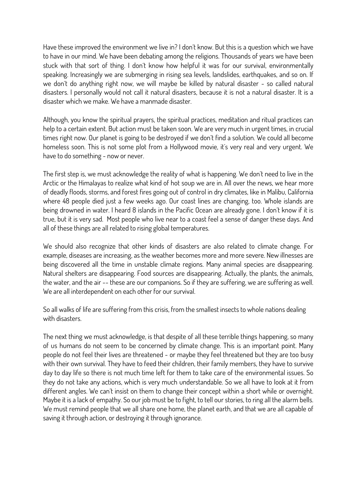Have these improved the environment we live in? I don´t know. But this is a question which we have to have in our mind. We have been debating among the religions. Thousands of years we have been stuck with that sort of thing. I don´t know how helpful it was for our survival, environmentally speaking. Increasingly we are submerging in rising sea levels, landslides, earthquakes, and so on. If we don´t do anything right now, we will maybe be killed by natural disaster - so called natural disasters. I personally would not call it natural disasters, because it is not a natural disaster. It is a disaster which we make. We have a manmade disaster.

Although, you know the spiritual prayers, the spiritual practices, meditation and ritual practices can help to a certain extent. But action must be taken soon. We are very much in urgent times, in crucial times right now. Our planet is going to be destroyed if we don´t find a solution. We could all become homeless soon. This is not some plot from a Hollywood movie, it´s very real and very urgent. We have to do something - now or never.

The first step is, we must acknowledge the reality of what is happening. We don´t need to live in the Arctic or the Himalayas to realize what kind of hot soup we are in. All over the news, we hear more of deadly floods, storms, and forest fires going out of control in dry climates, like in Malibu, California where 48 people died just a few weeks ago. Our coast lines are changing, too. Whole islands are being drowned in water. I heard 8 islands in the Pacific Ocean are already gone. I don´t know if it is true, but it is very sad. Most people who live near to a coast feel a sense of danger these days. And all of these things are all related to rising global temperatures.

We should also recognize that other kinds of disasters are also related to climate change. For example, diseases are increasing, as the weather becomes more and more severe. New illnesses are being discovered all the time in unstable climate regions. Many animal species are disappearing. Natural shelters are disappearing. Food sources are disappearing. Actually, the plants, the animals, the water, and the air -- these are our companions. So if they are suffering, we are suffering as well. We are all interdependent on each other for our survival.

So all walks of life are suffering from this crisis, from the smallest insects to whole nations dealing with disasters.

The next thing we must acknowledge, is that despite of all these terrible things happening, so many of us humans do not seem to be concerned by climate change. This is an important point. Many people do not feel their lives are threatened - or maybe they feel threatened but they are too busy with their own survival. They have to feed their children, their family members, they have to survive day to day life so there is not much time left for them to take care of the environmental issues. So they do not take any actions, which is very much understandable. So we all have to look at it from different angles. We can´t insist on them to change their concept within a short while or overnight. Maybe it is a lack of empathy. So our job must be to fight, to tell our stories, to ring all the alarm bells. We must remind people that we all share one home, the planet earth, and that we are all capable of saving it through action, or destroying it through ignorance.